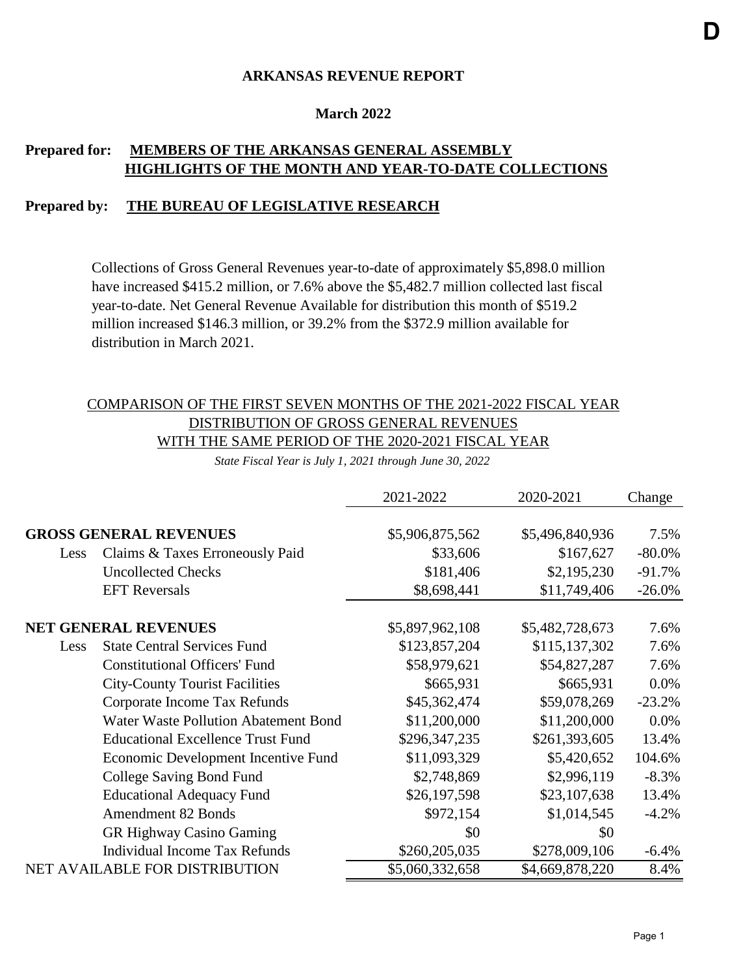#### **March 2022**

## **Prepared for: MEMBERS OF THE ARKANSAS GENERAL ASSEMBLY HIGHLIGHTS OF THE MONTH AND YEAR-TO-DATE COLLECTIONS**

#### **Prepared by: THE BUREAU OF LEGISLATIVE RESEARCH**

Collections of Gross General Revenues year-to-date of approximately \$5,898.0 million have increased \$415.2 million, or 7.6% above the \$5,482.7 million collected last fiscal year-to-date. Net General Revenue Available for distribution this month of \$519.2 million increased \$146.3 million, or 39.2% from the \$372.9 million available for distribution in March 2021.

### COMPARISON OF THE FIRST SEVEN MONTHS OF THE 2021-2022 FISCAL YEAR DISTRIBUTION OF GROSS GENERAL REVENUES WITH THE SAME PERIOD OF THE 2020-2021 FISCAL YEAR

*State Fiscal Year is July 1, 2021 through June 30, 2022*

|      |                                             | 2021-2022       | 2020-2021       | Change    |
|------|---------------------------------------------|-----------------|-----------------|-----------|
|      |                                             |                 |                 |           |
|      | <b>GROSS GENERAL REVENUES</b>               | \$5,906,875,562 | \$5,496,840,936 | 7.5%      |
| Less | Claims & Taxes Erroneously Paid             | \$33,606        | \$167,627       | $-80.0\%$ |
|      | <b>Uncollected Checks</b>                   | \$181,406       | \$2,195,230     | $-91.7%$  |
|      | <b>EFT</b> Reversals                        | \$8,698,441     | \$11,749,406    | $-26.0\%$ |
|      | <b>NET GENERAL REVENUES</b>                 | \$5,897,962,108 | \$5,482,728,673 | 7.6%      |
| Less | <b>State Central Services Fund</b>          | \$123,857,204   | \$115,137,302   | 7.6%      |
|      | <b>Constitutional Officers' Fund</b>        | \$58,979,621    | \$54,827,287    | 7.6%      |
|      | <b>City-County Tourist Facilities</b>       | \$665,931       | \$665,931       | $0.0\%$   |
|      | Corporate Income Tax Refunds                | \$45,362,474    | \$59,078,269    | $-23.2%$  |
|      | <b>Water Waste Pollution Abatement Bond</b> | \$11,200,000    | \$11,200,000    | 0.0%      |
|      | <b>Educational Excellence Trust Fund</b>    | \$296,347,235   | \$261,393,605   | 13.4%     |
|      | Economic Development Incentive Fund         | \$11,093,329    | \$5,420,652     | 104.6%    |
|      | College Saving Bond Fund                    | \$2,748,869     | \$2,996,119     | $-8.3%$   |
|      | <b>Educational Adequacy Fund</b>            | \$26,197,598    | \$23,107,638    | 13.4%     |
|      | <b>Amendment 82 Bonds</b>                   | \$972,154       | \$1,014,545     | $-4.2%$   |
|      | <b>GR Highway Casino Gaming</b>             | \$0             | \$0             |           |
|      | Individual Income Tax Refunds               | \$260,205,035   | \$278,009,106   | $-6.4\%$  |
|      | <b>NET AVAILABLE FOR DISTRIBUTION</b>       | \$5,060,332,658 | \$4,669,878,220 | 8.4%      |

**D**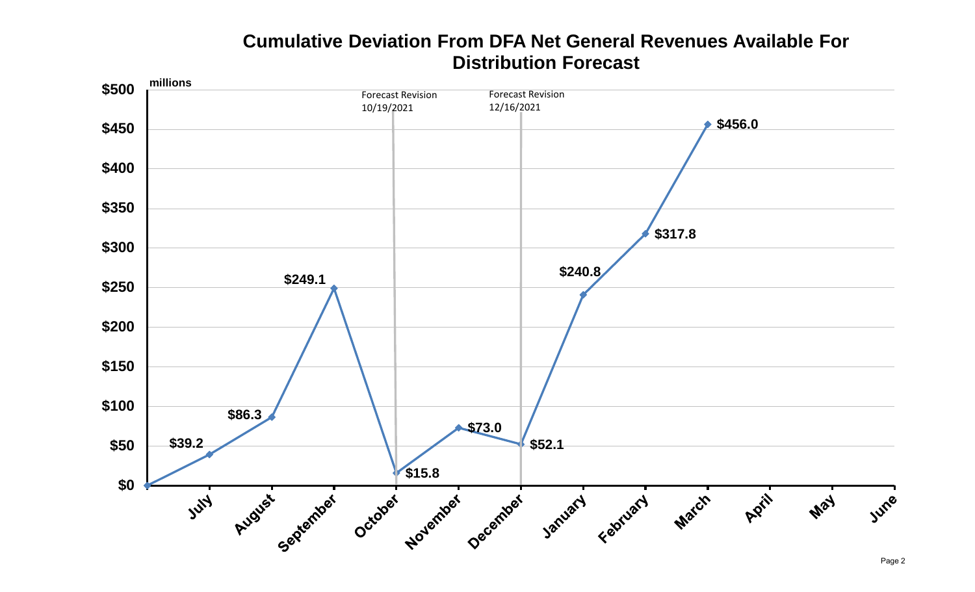# **Cumulative Deviation From DFA Net General Revenues Available For Distribution Forecast**

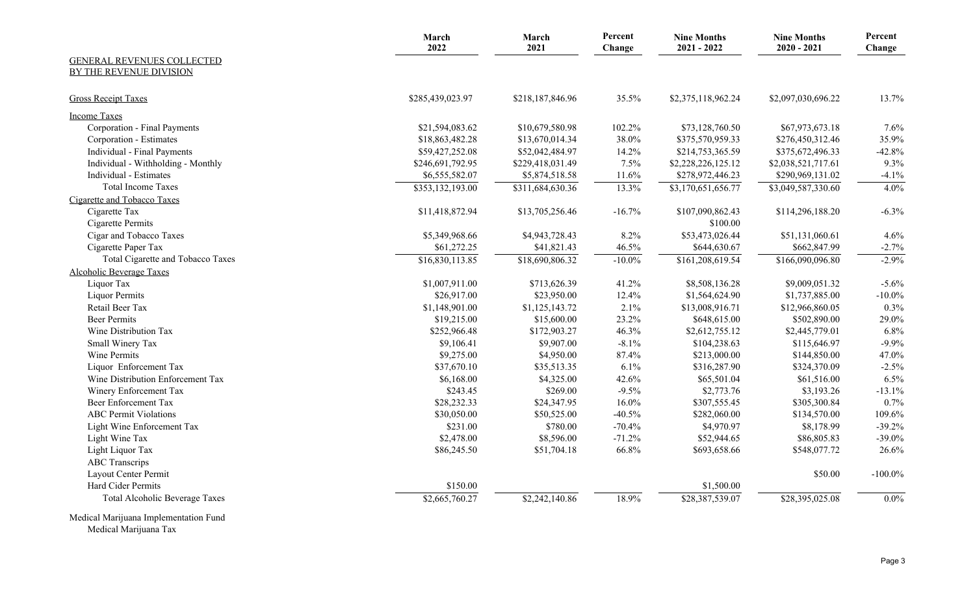|                                                       | March<br>2022    | March<br>2021    | Percent<br>Change | <b>Nine Months</b><br>$2021 - 2022$ | <b>Nine Months</b><br>$2020 - 2021$ | Percent<br>Change |
|-------------------------------------------------------|------------------|------------------|-------------------|-------------------------------------|-------------------------------------|-------------------|
| GENERAL REVENUES COLLECTED<br>BY THE REVENUE DIVISION |                  |                  |                   |                                     |                                     |                   |
|                                                       |                  |                  |                   |                                     |                                     |                   |
| <b>Gross Receipt Taxes</b>                            | \$285,439,023.97 | \$218,187,846.96 | 35.5%             | \$2,375,118,962.24                  | \$2,097,030,696.22                  | 13.7%             |
| <b>Income Taxes</b>                                   |                  |                  |                   |                                     |                                     |                   |
| Corporation - Final Payments                          | \$21,594,083.62  | \$10,679,580.98  | 102.2%            | \$73,128,760.50                     | \$67,973,673.18                     | 7.6%              |
| Corporation - Estimates                               | \$18,863,482.28  | \$13,670,014.34  | 38.0%             | \$375,570,959.33                    | \$276,450,312.46                    | 35.9%             |
| Individual - Final Payments                           | \$59,427,252.08  | \$52,042,484.97  | 14.2%             | \$214,753,365.59                    | \$375,672,496.33                    | $-42.8%$          |
| Individual - Withholding - Monthly                    | \$246,691,792.95 | \$229,418,031.49 | 7.5%              | \$2,228,226,125.12                  | \$2,038,521,717.61                  | 9.3%              |
| Individual - Estimates                                | \$6,555,582.07   | \$5,874,518.58   | 11.6%             | \$278,972,446.23                    | \$290,969,131.02                    | $-4.1%$           |
| <b>Total Income Taxes</b>                             | \$353,132,193.00 | \$311,684,630.36 | 13.3%             | \$3,170,651,656.77                  | \$3,049,587,330.60                  | 4.0%              |
| Cigarette and Tobacco Taxes                           |                  |                  |                   |                                     |                                     |                   |
| Cigarette Tax<br>Cigarette Permits                    | \$11,418,872.94  | \$13,705,256.46  | $-16.7%$          | \$107,090,862.43<br>\$100.00        | \$114,296,188.20                    | $-6.3\%$          |
| Cigar and Tobacco Taxes                               | \$5,349,968.66   | \$4,943,728.43   | 8.2%              | \$53,473,026.44                     | \$51,131,060.61                     | 4.6%              |
| Cigarette Paper Tax                                   | \$61,272.25      | \$41,821.43      | 46.5%             | \$644,630.67                        | \$662,847.99                        | $-2.7%$           |
| Total Cigarette and Tobacco Taxes                     | \$16,830,113.85  | \$18,690,806.32  | $-10.0\%$         | \$161,208,619.54                    | \$166,090,096.80                    | $-2.9%$           |
| <b>Alcoholic Beverage Taxes</b>                       |                  |                  |                   |                                     |                                     |                   |
| Liquor Tax                                            | \$1,007,911.00   | \$713,626.39     | 41.2%             | \$8,508,136.28                      | \$9,009,051.32                      | $-5.6%$           |
| <b>Liquor Permits</b>                                 | \$26,917.00      | \$23,950.00      | 12.4%             | \$1,564,624.90                      | \$1,737,885.00                      | $-10.0\%$         |
| Retail Beer Tax                                       | \$1,148,901.00   | \$1,125,143.72   | 2.1%              | \$13,008,916.71                     | \$12,966,860.05                     | 0.3%              |
| <b>Beer Permits</b>                                   | \$19,215.00      | \$15,600.00      | 23.2%             | \$648,615.00                        | \$502,890.00                        | 29.0%             |
| Wine Distribution Tax                                 | \$252,966.48     | \$172,903.27     | 46.3%             | \$2,612,755.12                      | \$2,445,779.01                      | 6.8%              |
| Small Winery Tax                                      | \$9,106.41       | \$9,907.00       | $-8.1\%$          | \$104,238.63                        | \$115,646.97                        | $-9.9%$           |
| Wine Permits                                          | \$9,275.00       | \$4,950.00       | 87.4%             | \$213,000.00                        | \$144,850.00                        | 47.0%             |
| Liquor Enforcement Tax                                | \$37,670.10      | \$35,513.35      | 6.1%              | \$316,287.90                        | \$324,370.09                        | $-2.5%$           |
| Wine Distribution Enforcement Tax                     | \$6,168.00       | \$4,325.00       | 42.6%             | \$65,501.04                         | \$61,516.00                         | 6.5%              |
| Winery Enforcement Tax                                | \$243.45         | \$269.00         | $-9.5%$           | \$2,773.76                          | \$3,193.26                          | $-13.1%$          |
| <b>Beer Enforcement Tax</b>                           | \$28,232.33      | \$24,347.95      | 16.0%             | \$307,555.45                        | \$305,300.84                        | 0.7%              |
| <b>ABC</b> Permit Violations                          | \$30,050.00      | \$50,525.00      | $-40.5%$          | \$282,060.00                        | \$134,570.00                        | 109.6%            |
| Light Wine Enforcement Tax                            | \$231.00         | \$780.00         | $-70.4%$          | \$4,970.97                          | \$8,178.99                          | $-39.2%$          |
| Light Wine Tax                                        | \$2,478.00       | \$8,596.00       | $-71.2%$          | \$52,944.65                         | \$86,805.83                         | $-39.0%$          |
| Light Liquor Tax                                      | \$86,245.50      | \$51,704.18      | 66.8%             | \$693,658.66                        | \$548,077.72                        | 26.6%             |
| <b>ABC</b> Transcrips                                 |                  |                  |                   |                                     |                                     |                   |
| Layout Center Permit                                  |                  |                  |                   |                                     | \$50.00                             | $-100.0\%$        |
| Hard Cider Permits                                    | \$150.00         |                  |                   | \$1,500.00                          |                                     |                   |
| <b>Total Alcoholic Beverage Taxes</b>                 | \$2,665,760.27   | \$2,242,140.86   | 18.9%             | \$28,387,539.07                     | \$28,395,025.08                     | $0.0\%$           |
| $M$ $1'$ $1M$ $1'$ $1'$ $1'$ $1'$ $1''$ $1''$ $1''$   |                  |                  |                   |                                     |                                     |                   |

Medical Marijuana Implementation Fund

Medical Marijuana Tax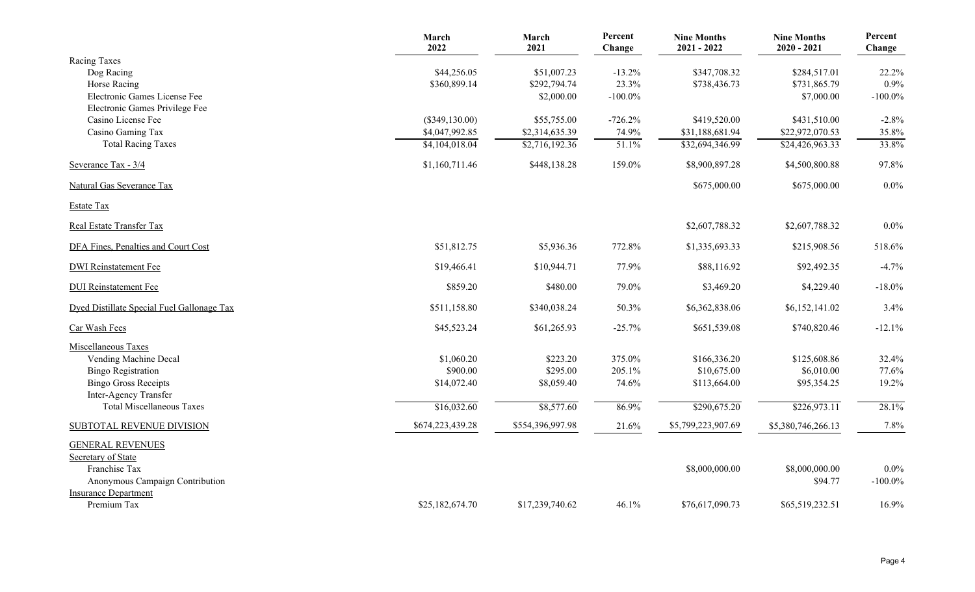|                                            | March<br>2022    | March<br>2021    | Percent<br>Change | <b>Nine Months</b><br>$2021 - 2022$ | <b>Nine Months</b><br>$2020 - 2021$ | Percent<br>Change |
|--------------------------------------------|------------------|------------------|-------------------|-------------------------------------|-------------------------------------|-------------------|
| Racing Taxes                               |                  |                  |                   |                                     |                                     |                   |
| Dog Racing                                 | \$44,256.05      | \$51,007.23      | $-13.2%$          | \$347,708.32                        | \$284,517.01                        | 22.2%             |
| Horse Racing                               | \$360,899.14     | \$292,794.74     | 23.3%             | \$738,436.73                        | \$731,865.79                        | 0.9%              |
| Electronic Games License Fee               |                  | \$2,000.00       | $-100.0\%$        |                                     | \$7,000.00                          | $-100.0\%$        |
| Electronic Games Privilege Fee             |                  |                  |                   |                                     |                                     |                   |
| Casino License Fee                         | $(\$349,130.00)$ | \$55,755.00      | $-726.2%$         | \$419,520.00                        | \$431,510.00                        | $-2.8%$           |
| Casino Gaming Tax                          | \$4,047,992.85   | \$2,314,635.39   | 74.9%             | \$31,188,681.94                     | \$22,972,070.53                     | 35.8%             |
| <b>Total Racing Taxes</b>                  | \$4,104,018.04   | \$2,716,192.36   | 51.1%             | \$32,694,346.99                     | \$24,426,963.33                     | 33.8%             |
| Severance Tax - 3/4                        | \$1,160,711.46   | \$448,138.28     | 159.0%            | \$8,900,897.28                      | \$4,500,800.88                      | 97.8%             |
| <b>Natural Gas Severance Tax</b>           |                  |                  |                   | \$675,000.00                        | \$675,000.00                        | $0.0\%$           |
| <b>Estate Tax</b>                          |                  |                  |                   |                                     |                                     |                   |
| Real Estate Transfer Tax                   |                  |                  |                   | \$2,607,788.32                      | \$2,607,788.32                      | $0.0\%$           |
| DFA Fines, Penalties and Court Cost        | \$51,812.75      | \$5,936.36       | 772.8%            | \$1,335,693.33                      | \$215,908.56                        | 518.6%            |
| <b>DWI</b> Reinstatement Fee               | \$19,466.41      | \$10,944.71      | 77.9%             | \$88,116.92                         | \$92,492.35                         | $-4.7%$           |
| <b>DUI</b> Reinstatement Fee               | \$859.20         | \$480.00         | 79.0%             | \$3,469.20                          | \$4,229.40                          | $-18.0\%$         |
| Dyed Distillate Special Fuel Gallonage Tax | \$511,158.80     | \$340,038.24     | 50.3%             | \$6,362,838.06                      | \$6,152,141.02                      | 3.4%              |
| Car Wash Fees                              | \$45,523.24      | \$61,265.93      | $-25.7%$          | \$651,539.08                        | \$740,820.46                        | $-12.1%$          |
| Miscellaneous Taxes                        |                  |                  |                   |                                     |                                     |                   |
| Vending Machine Decal                      | \$1,060.20       | \$223.20         | 375.0%            | \$166,336.20                        | \$125,608.86                        | 32.4%             |
| <b>Bingo Registration</b>                  | \$900.00         | \$295.00         | 205.1%            | \$10,675.00                         | \$6,010.00                          | 77.6%             |
| <b>Bingo Gross Receipts</b>                | \$14,072.40      | \$8,059.40       | 74.6%             | \$113,664.00                        | \$95,354.25                         | 19.2%             |
| Inter-Agency Transfer                      |                  |                  |                   |                                     |                                     |                   |
| <b>Total Miscellaneous Taxes</b>           | \$16,032.60      | \$8,577.60       | 86.9%             | \$290,675.20                        | \$226,973.11                        | 28.1%             |
| SUBTOTAL REVENUE DIVISION                  | \$674,223,439.28 | \$554,396,997.98 | 21.6%             | \$5,799,223,907.69                  | \$5,380,746,266.13                  | 7.8%              |
| <b>GENERAL REVENUES</b>                    |                  |                  |                   |                                     |                                     |                   |
| Secretary of State                         |                  |                  |                   |                                     |                                     |                   |
| Franchise Tax                              |                  |                  |                   | \$8,000,000.00                      | \$8,000,000.00                      | 0.0%              |
| Anonymous Campaign Contribution            |                  |                  |                   |                                     | \$94.77                             | $-100.0\%$        |
| <b>Insurance Department</b>                |                  |                  |                   |                                     |                                     |                   |
| Premium Tax                                | \$25,182,674.70  | \$17,239,740.62  | 46.1%             | \$76,617,090.73                     | \$65,519,232.51                     | 16.9%             |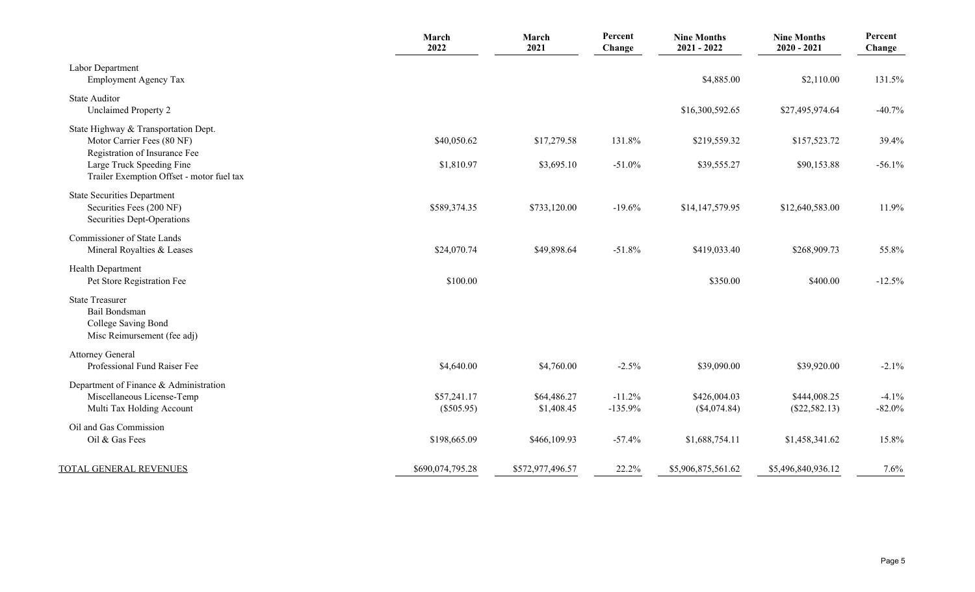|                                                                                                     | March<br>2022               | March<br>2021             | Percent<br>Change     | <b>Nine Months</b><br>$2021 - 2022$ | <b>Nine Months</b><br>$2020 - 2021$ | Percent<br>Change   |
|-----------------------------------------------------------------------------------------------------|-----------------------------|---------------------------|-----------------------|-------------------------------------|-------------------------------------|---------------------|
| Labor Department<br><b>Employment Agency Tax</b>                                                    |                             |                           |                       | \$4,885.00                          | \$2,110.00                          | 131.5%              |
| <b>State Auditor</b><br><b>Unclaimed Property 2</b>                                                 |                             |                           |                       | \$16,300,592.65                     | \$27,495,974.64                     | $-40.7%$            |
| State Highway & Transportation Dept.<br>Motor Carrier Fees (80 NF)<br>Registration of Insurance Fee | \$40,050.62                 | \$17,279.58               | 131.8%                | \$219,559.32                        | \$157,523.72                        | 39.4%               |
| Large Truck Speeding Fine<br>Trailer Exemption Offset - motor fuel tax                              | \$1,810.97                  | \$3,695.10                | $-51.0%$              | \$39,555.27                         | \$90,153.88                         | $-56.1%$            |
| <b>State Securities Department</b><br>Securities Fees (200 NF)<br>Securities Dept-Operations        | \$589,374.35                | \$733,120.00              | $-19.6%$              | \$14,147,579.95                     | \$12,640,583.00                     | 11.9%               |
| Commissioner of State Lands<br>Mineral Royalties & Leases                                           | \$24,070.74                 | \$49,898.64               | $-51.8%$              | \$419,033.40                        | \$268,909.73                        | 55.8%               |
| Health Department<br>Pet Store Registration Fee                                                     | \$100.00                    |                           |                       | \$350.00                            | \$400.00                            | $-12.5%$            |
| <b>State Treasurer</b><br>Bail Bondsman<br>College Saving Bond<br>Misc Reimursement (fee adj)       |                             |                           |                       |                                     |                                     |                     |
| <b>Attorney General</b><br>Professional Fund Raiser Fee                                             | \$4,640.00                  | \$4,760.00                | $-2.5%$               | \$39,090.00                         | \$39,920.00                         | $-2.1%$             |
| Department of Finance & Administration<br>Miscellaneous License-Temp<br>Multi Tax Holding Account   | \$57,241.17<br>$(\$505.95)$ | \$64,486.27<br>\$1,408.45 | $-11.2%$<br>$-135.9%$ | \$426,004.03<br>(\$4,074.84)        | \$444,008.25<br>$(\$22,582.13)$     | $-4.1%$<br>$-82.0%$ |
| Oil and Gas Commission<br>Oil & Gas Fees                                                            | \$198,665.09                | \$466,109.93              | $-57.4%$              | \$1,688,754.11                      | \$1,458,341.62                      | 15.8%               |
| TOTAL GENERAL REVENUES                                                                              | \$690,074,795.28            | \$572,977,496.57          | 22.2%                 | \$5,906,875,561.62                  | \$5,496,840,936.12                  | 7.6%                |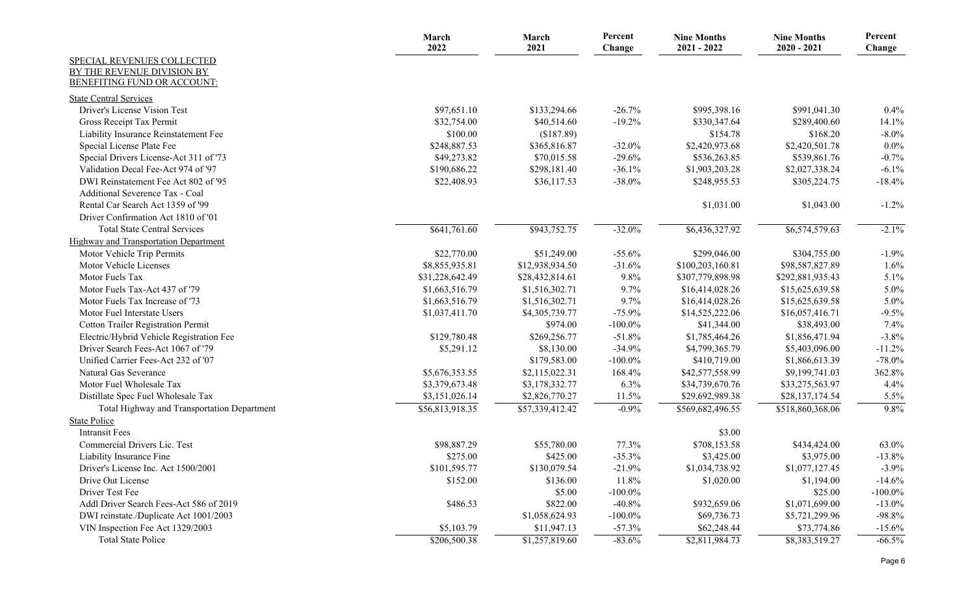|                                                                  | March<br>2022   | March<br>2021   | Percent<br>Change | <b>Nine Months</b><br>$2021 - 2022$ | <b>Nine Months</b><br>$2020 - 2021$ | Percent<br>Change |
|------------------------------------------------------------------|-----------------|-----------------|-------------------|-------------------------------------|-------------------------------------|-------------------|
| SPECIAL REVENUES COLLECTED                                       |                 |                 |                   |                                     |                                     |                   |
| BY THE REVENUE DIVISION BY<br><b>BENEFITING FUND OR ACCOUNT:</b> |                 |                 |                   |                                     |                                     |                   |
|                                                                  |                 |                 |                   |                                     |                                     |                   |
| <b>State Central Services</b>                                    |                 |                 |                   |                                     |                                     |                   |
| Driver's License Vision Test                                     | \$97,651.10     | \$133,294.66    | $-26.7%$          | \$995,398.16                        | \$991,041.30                        | 0.4%              |
| Gross Receipt Tax Permit                                         | \$32,754.00     | \$40,514.60     | $-19.2\%$         | \$330,347.64                        | \$289,400.60                        | 14.1%             |
| Liability Insurance Reinstatement Fee                            | \$100.00        | (\$187.89)      |                   | \$154.78                            | \$168.20                            | $-8.0\%$          |
| Special License Plate Fee                                        | \$248,887.53    | \$365,816.87    | $-32.0%$          | \$2,420,973.68                      | \$2,420,501.78                      | $0.0\%$           |
| Special Drivers License-Act 311 of '73                           | \$49,273.82     | \$70,015.58     | $-29.6%$          | \$536,263.85                        | \$539,861.76                        | $-0.7%$           |
| Validation Decal Fee-Act 974 of '97                              | \$190,686.22    | \$298,181.40    | $-36.1%$          | \$1,903,203.28                      | \$2,027,338.24                      | $-6.1%$           |
| DWI Reinstatement Fee Act 802 of '95                             | \$22,408.93     | \$36,117.53     | $-38.0\%$         | \$248,955.53                        | \$305,224.75                        | $-18.4%$          |
| Additional Severence Tax - Coal                                  |                 |                 |                   |                                     |                                     |                   |
| Rental Car Search Act 1359 of '99                                |                 |                 |                   | \$1,031.00                          | \$1,043.00                          | $-1.2%$           |
| Driver Confirmation Act 1810 of '01                              |                 |                 |                   |                                     |                                     |                   |
| <b>Total State Central Services</b>                              | \$641,761.60    | \$943,752.75    | $-32.0%$          | \$6,436,327.92                      | \$6,574,579.63                      | $-2.1%$           |
| Highway and Transportation Department                            |                 |                 |                   |                                     |                                     |                   |
| Motor Vehicle Trip Permits                                       | \$22,770.00     | \$51,249.00     | $-55.6%$          | \$299,046.00                        | \$304,755.00                        | $-1.9%$           |
| Motor Vehicle Licenses                                           | \$8,855,935.81  | \$12,938,934.50 | $-31.6%$          | \$100,203,160.81                    | \$98,587,827.89                     | 1.6%              |
| Motor Fuels Tax                                                  | \$31,228,642.49 | \$28,432,814.61 | 9.8%              | \$307,779,898.98                    | \$292,881,935.43                    | 5.1%              |
| Motor Fuels Tax-Act 437 of '79                                   | \$1,663,516.79  | \$1,516,302.71  | 9.7%              | \$16,414,028.26                     | \$15,625,639.58                     | 5.0%              |
| Motor Fuels Tax Increase of '73                                  | \$1,663,516.79  | \$1,516,302.71  | 9.7%              | \$16,414,028.26                     | \$15,625,639.58                     | 5.0%              |
| Motor Fuel Interstate Users                                      | \$1,037,411.70  | \$4,305,739.77  | $-75.9%$          | \$14,525,222.06                     | \$16,057,416.71                     | $-9.5%$           |
| <b>Cotton Trailer Registration Permit</b>                        |                 | \$974.00        | $-100.0\%$        | \$41,344.00                         | \$38,493.00                         | 7.4%              |
| Electric/Hybrid Vehicle Registration Fee                         | \$129,780.48    | \$269,256.77    | $-51.8%$          | \$1,785,464.26                      | \$1,856,471.94                      | $-3.8%$           |
| Driver Search Fees-Act 1067 of '79                               | \$5,291.12      | \$8,130.00      | $-34.9%$          | \$4,799,365.79                      | \$5,403,096.00                      | $-11.2%$          |
| Unified Carrier Fees-Act 232 of '07                              |                 | \$179,583.00    | $-100.0\%$        | \$410,719.00                        | \$1,866,613.39                      | $-78.0%$          |
| Natural Gas Severance                                            | \$5,676,353.55  | \$2,115,022.31  | 168.4%            | \$42,577,558.99                     | \$9,199,741.03                      | 362.8%            |
| Motor Fuel Wholesale Tax                                         | \$3,379,673.48  | \$3,178,332.77  | 6.3%              | \$34,739,670.76                     | \$33,275,563.97                     | 4.4%              |
| Distillate Spec Fuel Wholesale Tax                               | \$3,151,026.14  | \$2,826,770.27  | 11.5%             | \$29,692,989.38                     | \$28,137,174.54                     | 5.5%              |
| Total Highway and Transportation Department                      | \$56,813,918.35 | \$57,339,412.42 | $-0.9%$           | \$569,682,496.55                    | \$518,860,368.06                    | 9.8%              |
| <b>State Police</b>                                              |                 |                 |                   |                                     |                                     |                   |
| <b>Intransit Fees</b>                                            |                 |                 |                   | \$3.00                              |                                     |                   |
| Commercial Drivers Lic. Test                                     | \$98,887.29     | \$55,780.00     | 77.3%             | \$708,153.58                        | \$434,424.00                        | 63.0%             |
| Liability Insurance Fine                                         | \$275.00        | \$425.00        | $-35.3%$          | \$3,425.00                          | \$3,975.00                          | $-13.8%$          |
| Driver's License Inc. Act 1500/2001                              | \$101,595.77    | \$130,079.54    | $-21.9%$          | \$1,034,738.92                      | \$1,077,127.45                      | $-3.9\%$          |
| Drive Out License                                                | \$152.00        | \$136.00        | 11.8%             | \$1,020.00                          | \$1,194.00                          | $-14.6%$          |
| Driver Test Fee                                                  |                 | \$5.00          | $-100.0\%$        |                                     | \$25.00                             | $-100.0\%$        |
| Addl Driver Search Fees-Act 586 of 2019                          | \$486.53        | \$822.00        | $-40.8%$          | \$932,659.06                        | \$1,071,699.00                      | $-13.0\%$         |
| DWI reinstate./Duplicate Act 1001/2003                           |                 | \$1,058,624.93  | $-100.0\%$        | \$69,736.73                         | \$5,721,299.96                      | $-98.8%$          |
| VIN Inspection Fee Act 1329/2003                                 | \$5,103.79      | \$11,947.13     | $-57.3%$          | \$62,248.44                         | \$73,774.86                         | $-15.6%$          |
| <b>Total State Police</b>                                        | \$206,500.38    | \$1,257,819.60  | $-83.6%$          | \$2,811,984.73                      | \$8,383,519.27                      | $-66.5\%$         |
|                                                                  |                 |                 |                   |                                     |                                     |                   |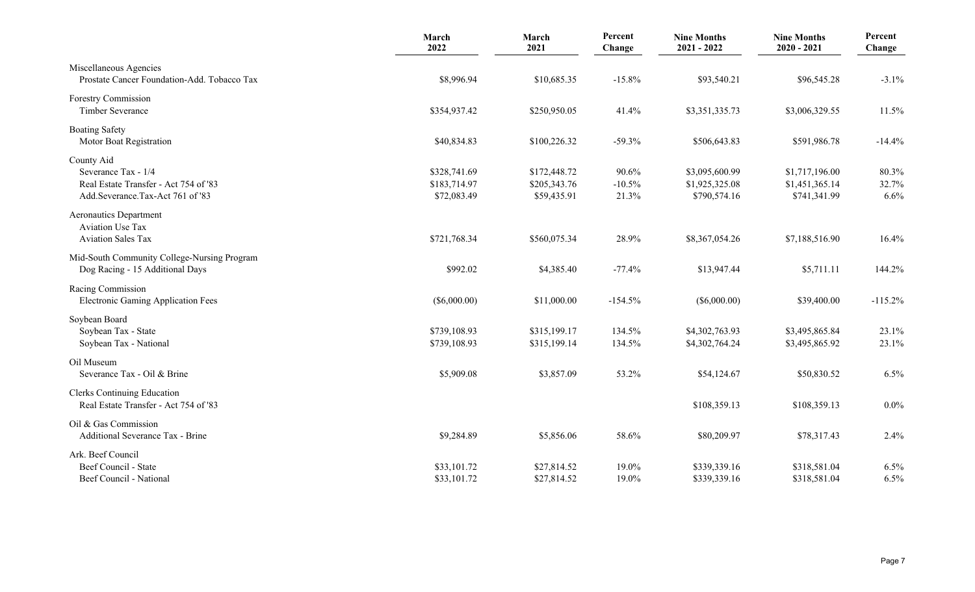|                                                                                                                | March<br>2022                               | March<br>2021                               | Percent<br>Change          | <b>Nine Months</b><br>$2021 - 2022$              | <b>Nine Months</b><br>$2020 - 2021$              | Percent<br>Change      |
|----------------------------------------------------------------------------------------------------------------|---------------------------------------------|---------------------------------------------|----------------------------|--------------------------------------------------|--------------------------------------------------|------------------------|
| Miscellaneous Agencies<br>Prostate Cancer Foundation-Add. Tobacco Tax                                          | \$8,996.94                                  | \$10,685.35                                 | $-15.8%$                   | \$93,540.21                                      | \$96,545.28                                      | $-3.1%$                |
| Forestry Commission<br>Timber Severance                                                                        | \$354,937.42                                | \$250,950.05                                | 41.4%                      | \$3,351,335.73                                   | \$3,006,329.55                                   | 11.5%                  |
| <b>Boating Safety</b><br>Motor Boat Registration                                                               | \$40,834.83                                 | \$100,226.32                                | $-59.3%$                   | \$506,643.83                                     | \$591,986.78                                     | $-14.4%$               |
| County Aid<br>Severance Tax - 1/4<br>Real Estate Transfer - Act 754 of '83<br>Add.Severance.Tax-Act 761 of '83 | \$328,741.69<br>\$183,714.97<br>\$72,083.49 | \$172,448.72<br>\$205,343.76<br>\$59,435.91 | 90.6%<br>$-10.5%$<br>21.3% | \$3,095,600.99<br>\$1,925,325.08<br>\$790,574.16 | \$1,717,196.00<br>\$1,451,365.14<br>\$741,341.99 | 80.3%<br>32.7%<br>6.6% |
| <b>Aeronautics Department</b><br><b>Aviation Use Tax</b><br><b>Aviation Sales Tax</b>                          | \$721,768.34                                | \$560,075.34                                | 28.9%                      | \$8,367,054.26                                   | \$7,188,516.90                                   | 16.4%                  |
| Mid-South Community College-Nursing Program<br>Dog Racing - 15 Additional Days                                 | \$992.02                                    | \$4,385.40                                  | $-77.4%$                   | \$13,947.44                                      | \$5,711.11                                       | 144.2%                 |
| Racing Commission<br><b>Electronic Gaming Application Fees</b>                                                 | $(\$6,000.00)$                              | \$11,000.00                                 | $-154.5%$                  | $(\$6,000.00)$                                   | \$39,400.00                                      | $-115.2%$              |
| Soybean Board<br>Soybean Tax - State<br>Soybean Tax - National                                                 | \$739,108.93<br>\$739,108.93                | \$315,199.17<br>\$315,199.14                | 134.5%<br>134.5%           | \$4,302,763.93<br>\$4,302,764.24                 | \$3,495,865.84<br>\$3,495,865.92                 | 23.1%<br>23.1%         |
| Oil Museum<br>Severance Tax - Oil & Brine                                                                      | \$5,909.08                                  | \$3,857.09                                  | 53.2%                      | \$54,124.67                                      | \$50,830.52                                      | 6.5%                   |
| <b>Clerks Continuing Education</b><br>Real Estate Transfer - Act 754 of '83                                    |                                             |                                             |                            | \$108,359.13                                     | \$108,359.13                                     | 0.0%                   |
| Oil & Gas Commission<br>Additional Severance Tax - Brine                                                       | \$9,284.89                                  | \$5,856.06                                  | 58.6%                      | \$80,209.97                                      | \$78,317.43                                      | 2.4%                   |
| Ark. Beef Council<br>Beef Council - State<br>Beef Council - National                                           | \$33,101.72<br>\$33,101.72                  | \$27,814.52<br>\$27,814.52                  | 19.0%<br>19.0%             | \$339,339.16<br>\$339,339.16                     | \$318,581.04<br>\$318,581.04                     | 6.5%<br>6.5%           |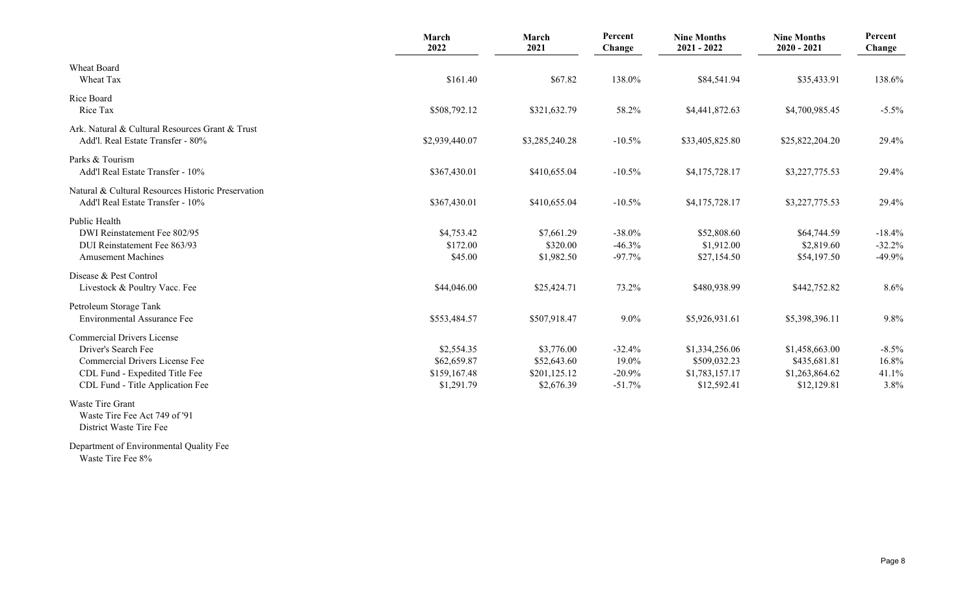|                                                                                                                                                                  | March<br>2022                                           | March<br>2021                                           | Percent<br>Change                         | <b>Nine Months</b><br>$2021 - 2022$                             | <b>Nine Months</b><br>$2020 - 2021$                             | Percent<br>Change                  |
|------------------------------------------------------------------------------------------------------------------------------------------------------------------|---------------------------------------------------------|---------------------------------------------------------|-------------------------------------------|-----------------------------------------------------------------|-----------------------------------------------------------------|------------------------------------|
| Wheat Board<br>Wheat Tax                                                                                                                                         | \$161.40                                                | \$67.82                                                 | 138.0%                                    | \$84,541.94                                                     | \$35,433.91                                                     | 138.6%                             |
| Rice Board<br>Rice Tax                                                                                                                                           | \$508,792.12                                            | \$321,632.79                                            | 58.2%                                     | \$4,441,872.63                                                  | \$4,700,985.45                                                  | $-5.5\%$                           |
| Ark. Natural & Cultural Resources Grant & Trust<br>Add'l. Real Estate Transfer - 80%                                                                             | \$2,939,440.07                                          | \$3,285,240.28                                          | $-10.5%$                                  | \$33,405,825.80                                                 | \$25,822,204.20                                                 | 29.4%                              |
| Parks & Tourism<br>Add'l Real Estate Transfer - 10%                                                                                                              | \$367,430.01                                            | \$410,655.04                                            | $-10.5%$                                  | \$4,175,728.17                                                  | \$3,227,775.53                                                  | 29.4%                              |
| Natural & Cultural Resources Historic Preservation<br>Add'l Real Estate Transfer - 10%                                                                           | \$367,430.01                                            | \$410,655.04                                            | $-10.5%$                                  | \$4,175,728.17                                                  | \$3,227,775.53                                                  | 29.4%                              |
| Public Health<br>DWI Reinstatement Fee 802/95<br>DUI Reinstatement Fee 863/93<br><b>Amusement Machines</b>                                                       | \$4,753.42<br>\$172.00<br>\$45.00                       | \$7,661.29<br>\$320.00<br>\$1,982.50                    | $-38.0\%$<br>$-46.3%$<br>$-97.7%$         | \$52,808.60<br>\$1,912.00<br>\$27,154.50                        | \$64,744.59<br>\$2,819.60<br>\$54,197.50                        | $-18.4%$<br>$-32.2%$<br>$-49.9%$   |
| Disease & Pest Control<br>Livestock & Poultry Vacc. Fee                                                                                                          | \$44,046.00                                             | \$25,424.71                                             | 73.2%                                     | \$480,938.99                                                    | \$442,752.82                                                    | 8.6%                               |
| Petroleum Storage Tank<br><b>Environmental Assurance Fee</b>                                                                                                     | \$553,484.57                                            | \$507,918.47                                            | $9.0\%$                                   | \$5,926,931.61                                                  | \$5,398,396.11                                                  | 9.8%                               |
| <b>Commercial Drivers License</b><br>Driver's Search Fee<br>Commercial Drivers License Fee<br>CDL Fund - Expedited Title Fee<br>CDL Fund - Title Application Fee | \$2,554.35<br>\$62,659.87<br>\$159,167.48<br>\$1,291.79 | \$3,776.00<br>\$52,643.60<br>\$201,125.12<br>\$2,676.39 | $-32.4%$<br>19.0%<br>$-20.9%$<br>$-51.7%$ | \$1,334,256.06<br>\$509,032.23<br>\$1,783,157.17<br>\$12,592.41 | \$1,458,663.00<br>\$435,681.81<br>\$1,263,864.62<br>\$12,129.81 | $-8.5\%$<br>16.8%<br>41.1%<br>3.8% |
| Waste Tire Grant<br>Waste Tire Fee Act 749 of '91                                                                                                                |                                                         |                                                         |                                           |                                                                 |                                                                 |                                    |

District Waste Tire Fee

Department of Environmental Quality Fee Waste Tire Fee 8%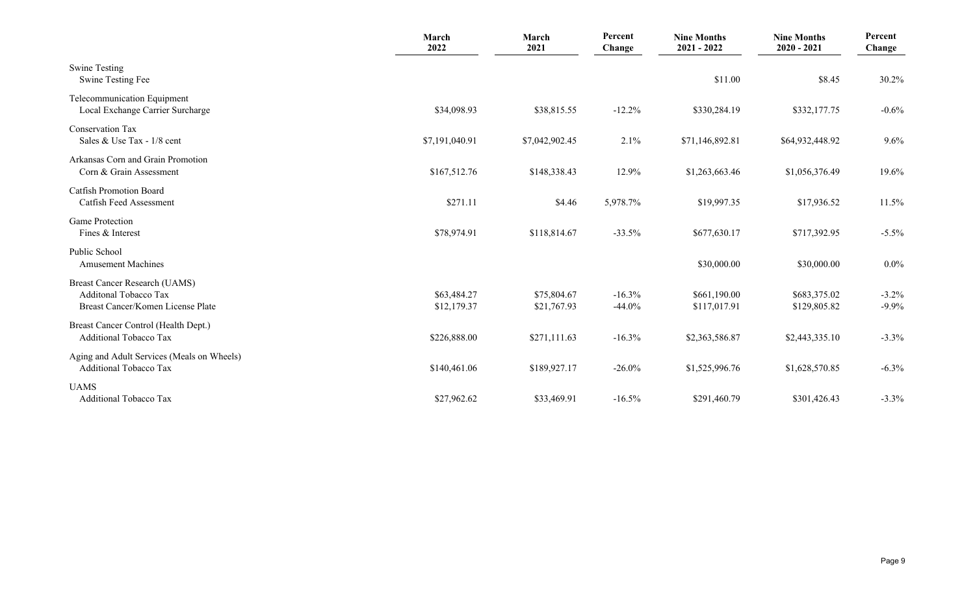|                                                                                                    | March<br>2022              | March<br>2021              | Percent<br>Change    | <b>Nine Months</b><br>$2021 - 2022$ | <b>Nine Months</b><br>$2020 - 2021$ | Percent<br>Change    |
|----------------------------------------------------------------------------------------------------|----------------------------|----------------------------|----------------------|-------------------------------------|-------------------------------------|----------------------|
| <b>Swine Testing</b><br>Swine Testing Fee                                                          |                            |                            |                      | \$11.00                             | \$8.45                              | 30.2%                |
| Telecommunication Equipment<br>Local Exchange Carrier Surcharge                                    | \$34,098.93                | \$38,815.55                | $-12.2%$             | \$330,284.19                        | \$332,177.75                        | $-0.6%$              |
| <b>Conservation Tax</b><br>Sales & Use Tax - 1/8 cent                                              | \$7,191,040.91             | \$7,042,902.45             | 2.1%                 | \$71,146,892.81                     | \$64,932,448.92                     | 9.6%                 |
| Arkansas Corn and Grain Promotion<br>Corn & Grain Assessment                                       | \$167,512.76               | \$148,338.43               | 12.9%                | \$1,263,663.46                      | \$1,056,376.49                      | 19.6%                |
| <b>Catfish Promotion Board</b><br>Catfish Feed Assessment                                          | \$271.11                   | \$4.46                     | 5,978.7%             | \$19,997.35                         | \$17,936.52                         | 11.5%                |
| <b>Game Protection</b><br>Fines & Interest                                                         | \$78,974.91                | \$118,814.67               | $-33.5%$             | \$677,630.17                        | \$717,392.95                        | $-5.5\%$             |
| Public School<br><b>Amusement Machines</b>                                                         |                            |                            |                      | \$30,000.00                         | \$30,000.00                         | $0.0\%$              |
| <b>Breast Cancer Research (UAMS)</b><br>Additonal Tobacco Tax<br>Breast Cancer/Komen License Plate | \$63,484.27<br>\$12,179.37 | \$75,804.67<br>\$21,767.93 | $-16.3%$<br>$-44.0%$ | \$661,190.00<br>\$117,017.91        | \$683,375.02<br>\$129,805.82        | $-3.2\%$<br>$-9.9\%$ |
| Breast Cancer Control (Health Dept.)<br><b>Additional Tobacco Tax</b>                              | \$226,888.00               | \$271,111.63               | $-16.3%$             | \$2,363,586.87                      | \$2,443,335.10                      | $-3.3\%$             |
| Aging and Adult Services (Meals on Wheels)<br><b>Additional Tobacco Tax</b>                        | \$140,461.06               | \$189,927.17               | $-26.0\%$            | \$1,525,996.76                      | \$1,628,570.85                      | $-6.3\%$             |
| <b>UAMS</b><br><b>Additional Tobacco Tax</b>                                                       | \$27,962.62                | \$33,469.91                | $-16.5%$             | \$291,460.79                        | \$301,426.43                        | $-3.3%$              |